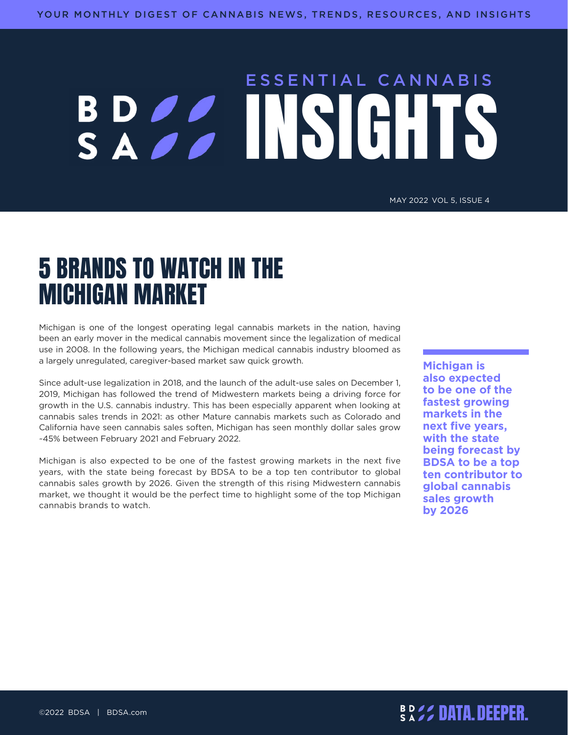# ESSENTIAL CANNABIS BDSS INSIGHTS

MAY 2022 VOL 5, ISSUE 4

## 5 BRANDS TO WATCH IN THE MICHIGAN MARKET

Michigan is one of the longest operating legal cannabis markets in the nation, having been an early mover in the medical cannabis movement since the legalization of medical use in 2008. In the following years, the Michigan medical cannabis industry bloomed as a largely unregulated, caregiver-based market saw quick growth.

Since adult-use legalization in 2018, and the launch of the adult-use sales on December 1, 2019, Michigan has followed the trend of Midwestern markets being a driving force for growth in the U.S. cannabis industry. This has been especially apparent when looking at cannabis sales trends in 2021: as other Mature cannabis markets such as Colorado and California have seen cannabis sales soften, Michigan has seen monthly dollar sales grow ~45% between February 2021 and February 2022.

Michigan is also expected to be one of the fastest growing markets in the next five years, with the state being forecast by BDSA to be a top ten contributor to global cannabis sales growth by 2026. Given the strength of this rising Midwestern cannabis market, we thought it would be the perfect time to highlight some of the top Michigan cannabis brands to watch.

**Michigan is also expected to be one of the fastest growing markets in the next five years, with the state being forecast by BDSA to be a top ten contributor to global cannabis sales growth by 2026**

## DATA.DEEPER. ©2022 BDSA | BDSA.com